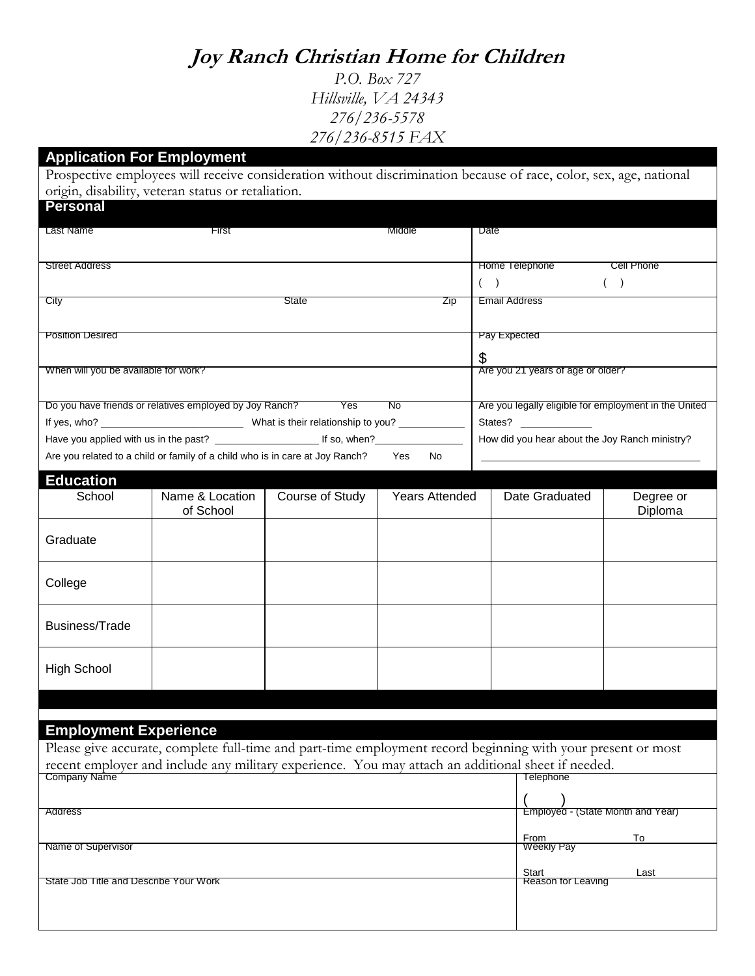## **Joy Ranch Christian Home for Children**

*P.O. Box 727 Hillsville, VA 24343 276/236-5578 276/236-8515 FAX*

**Application For Emple** 

| <b>Application For Employment</b>      |                                                                                                                    |                 |                       |                                                       |                                                |                      |  |
|----------------------------------------|--------------------------------------------------------------------------------------------------------------------|-----------------|-----------------------|-------------------------------------------------------|------------------------------------------------|----------------------|--|
|                                        | Prospective employees will receive consideration without discrimination because of race, color, sex, age, national |                 |                       |                                                       |                                                |                      |  |
| <b>Personal</b>                        | origin, disability, veteran status or retaliation.                                                                 |                 |                       |                                                       |                                                |                      |  |
|                                        |                                                                                                                    |                 |                       |                                                       |                                                |                      |  |
| Last Name                              | First                                                                                                              |                 | Middle                | Date                                                  |                                                |                      |  |
|                                        |                                                                                                                    |                 |                       |                                                       |                                                |                      |  |
| <b>Street Address</b>                  |                                                                                                                    |                 |                       |                                                       | Home Telephone                                 | <b>Cell Phone</b>    |  |
|                                        |                                                                                                                    |                 |                       | $($ )                                                 |                                                | (                    |  |
| City                                   |                                                                                                                    | State           | Zip                   |                                                       | <b>Email Address</b>                           |                      |  |
|                                        |                                                                                                                    |                 |                       |                                                       |                                                |                      |  |
| <b>Position Desired</b>                |                                                                                                                    |                 |                       |                                                       | Pay Expected                                   |                      |  |
|                                        |                                                                                                                    |                 |                       |                                                       |                                                |                      |  |
| When will you be available for work?   |                                                                                                                    |                 |                       |                                                       | \$<br>Are you 21 years of age or older?        |                      |  |
|                                        |                                                                                                                    |                 |                       |                                                       |                                                |                      |  |
|                                        |                                                                                                                    |                 |                       |                                                       |                                                |                      |  |
|                                        | Do you have triends or relatives employed by Joy Ranch? Yes                                                        |                 | No.                   | Are you legally eligible for employment in the United |                                                |                      |  |
|                                        |                                                                                                                    |                 |                       | States?                                               |                                                |                      |  |
|                                        |                                                                                                                    |                 |                       |                                                       | How did you hear about the Joy Ranch ministry? |                      |  |
|                                        | Are you related to a child or family of a child who is in care at Joy Ranch?                                       |                 | Yes<br>No.            |                                                       |                                                |                      |  |
| <b>Education</b>                       |                                                                                                                    |                 |                       |                                                       |                                                |                      |  |
| School                                 | Name & Location<br>of School                                                                                       | Course of Study | <b>Years Attended</b> |                                                       | Date Graduated                                 | Degree or<br>Diploma |  |
| Graduate                               |                                                                                                                    |                 |                       |                                                       |                                                |                      |  |
| College                                |                                                                                                                    |                 |                       |                                                       |                                                |                      |  |
| Business/Trade                         |                                                                                                                    |                 |                       |                                                       |                                                |                      |  |
| <b>High School</b>                     |                                                                                                                    |                 |                       |                                                       |                                                |                      |  |
|                                        |                                                                                                                    |                 |                       |                                                       |                                                |                      |  |
|                                        |                                                                                                                    |                 |                       |                                                       |                                                |                      |  |
| <b>Employment Experience</b>           |                                                                                                                    |                 |                       |                                                       |                                                |                      |  |
|                                        | Please give accurate, complete full-time and part-time employment record beginning with your present or most       |                 |                       |                                                       |                                                |                      |  |
|                                        | recent employer and include any military experience. You may attach an additional sheet if needed.                 |                 |                       |                                                       |                                                |                      |  |
| Company Name                           |                                                                                                                    |                 |                       |                                                       | <b>Telephone</b>                               |                      |  |
|                                        |                                                                                                                    |                 |                       |                                                       |                                                |                      |  |
| Address                                |                                                                                                                    |                 |                       |                                                       | Employed - (State Month and Year)              |                      |  |
|                                        |                                                                                                                    |                 |                       |                                                       |                                                |                      |  |
| Name of Supervisor                     |                                                                                                                    |                 |                       | From<br>Weekly Pay                                    | To                                             |                      |  |
|                                        |                                                                                                                    |                 |                       | Start                                                 | Last                                           |                      |  |
| State Job Title and Describe Your Work |                                                                                                                    |                 |                       | <b>Reason for Leaving</b>                             |                                                |                      |  |
|                                        |                                                                                                                    |                 |                       |                                                       |                                                |                      |  |
|                                        |                                                                                                                    |                 |                       |                                                       |                                                |                      |  |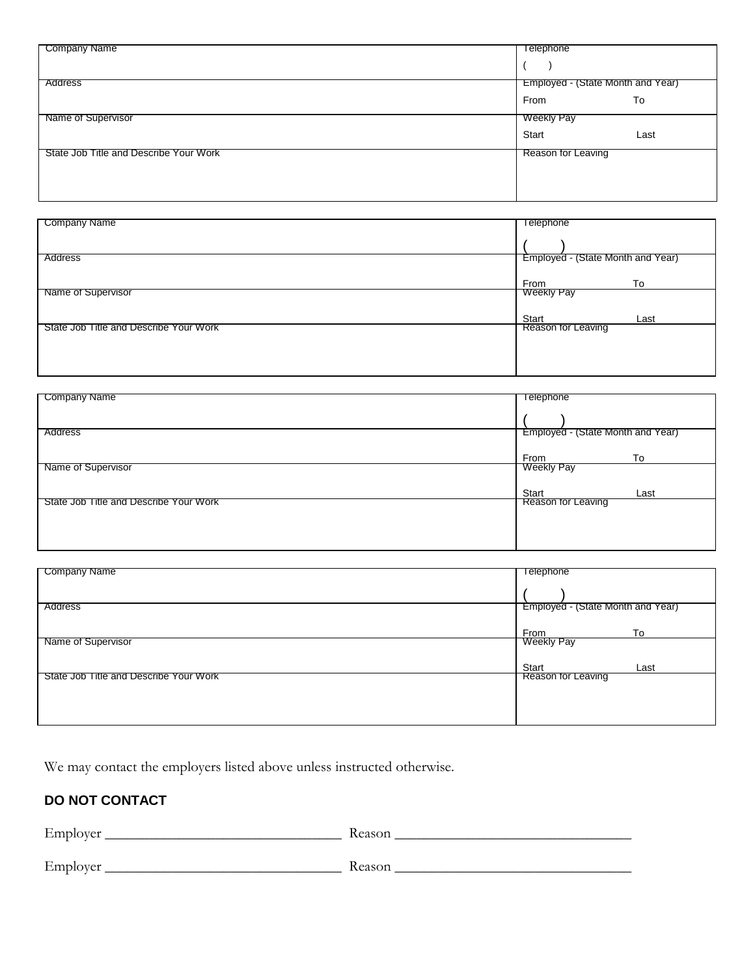| Company Name                           | Telephone                         |      |
|----------------------------------------|-----------------------------------|------|
|                                        |                                   |      |
| Address                                | Employed - (State Month and Year) |      |
|                                        | From                              | To   |
| Name of Supervisor                     | <b>Weekly Pay</b>                 |      |
|                                        | Start                             | Last |
| State Job Title and Describe Your Work | <b>Reason for Leaving</b>         |      |
|                                        |                                   |      |
|                                        |                                   |      |
|                                        |                                   |      |

| Company Name                           | <b>Telephone</b>                  |
|----------------------------------------|-----------------------------------|
|                                        |                                   |
| Address                                | Employed - (State Month and Year) |
|                                        | From<br>To                        |
| Name of Supervisor                     | Weekly Pay                        |
|                                        | Start<br>Last                     |
| State Job Title and Describe Your Work | Reason for Leaving                |
|                                        |                                   |
|                                        |                                   |

| Company Name                           | <b>Telephone</b>                  |
|----------------------------------------|-----------------------------------|
|                                        |                                   |
| Address                                | Employed - (State Month and Year) |
|                                        | To<br>From                        |
| Name of Supervisor                     | <b>Weekly Pay</b>                 |
|                                        | Start<br>Last                     |
| State Job Title and Describe Your Work | Reason for Leaving                |
|                                        |                                   |
|                                        |                                   |

| Company Name                           | <b>Telephone</b>                  |
|----------------------------------------|-----------------------------------|
|                                        |                                   |
| Address                                | Employed - (State Month and Year) |
|                                        | To<br>From                        |
| Name of Supervisor                     | <b>Weekly Pay</b>                 |
|                                        | Start<br>Last                     |
| State Job Title and Describe Your Work | Reason for Leaving                |
|                                        |                                   |
|                                        |                                   |

We may contact the employers listed above unless instructed otherwise.

## **DO NOT CONTACT**

| Employer | Reason |
|----------|--------|
| Employer | Reason |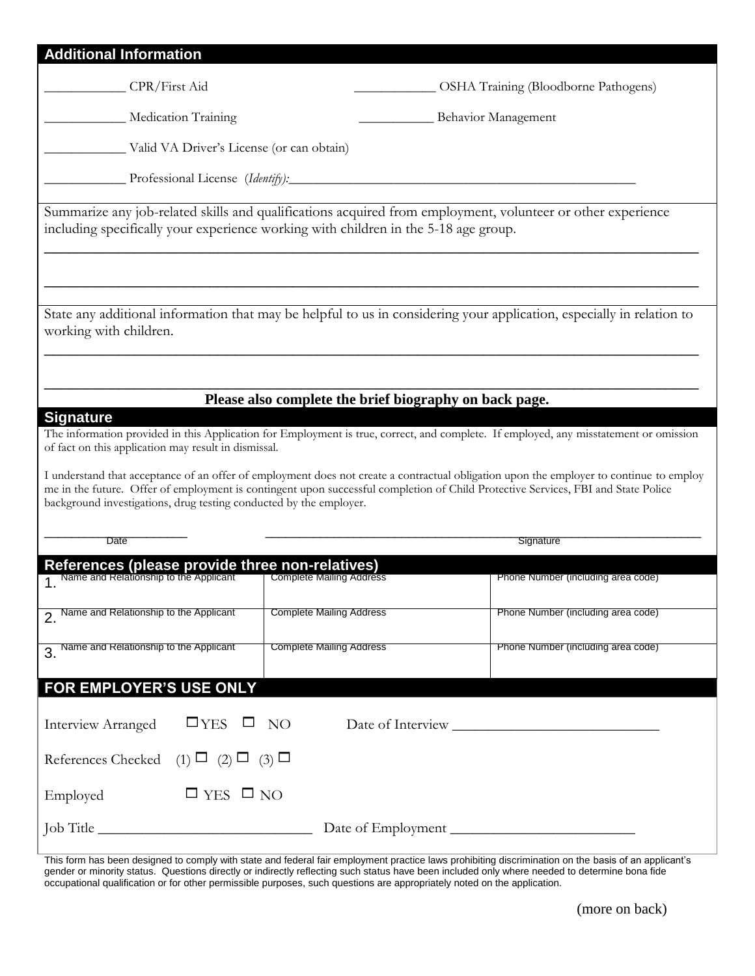| <b>Additional Information</b>                                                                                              |                                                        |                                                                                                                                                                                                                                                                              |
|----------------------------------------------------------------------------------------------------------------------------|--------------------------------------------------------|------------------------------------------------------------------------------------------------------------------------------------------------------------------------------------------------------------------------------------------------------------------------------|
| CPR/First Aid                                                                                                              |                                                        | OSHA Training (Bloodborne Pathogens)                                                                                                                                                                                                                                         |
| Medication Training                                                                                                        |                                                        | Behavior Management                                                                                                                                                                                                                                                          |
| Valid VA Driver's License (or can obtain)                                                                                  |                                                        |                                                                                                                                                                                                                                                                              |
|                                                                                                                            | Professional License (Identify):                       |                                                                                                                                                                                                                                                                              |
| including specifically your experience working with children in the 5-18 age group.                                        |                                                        | Summarize any job-related skills and qualifications acquired from employment, volunteer or other experience                                                                                                                                                                  |
| working with children.                                                                                                     |                                                        | State any additional information that may be helpful to us in considering your application, especially in relation to                                                                                                                                                        |
| <b>Signature</b>                                                                                                           | Please also complete the brief biography on back page. | The information provided in this Application for Employment is true, correct, and complete. If employed, any misstatement or omission                                                                                                                                        |
| of fact on this application may result in dismissal.<br>background investigations, drug testing conducted by the employer. |                                                        | I understand that acceptance of an offer of employment does not create a contractual obligation upon the employer to continue to employ<br>me in the future. Offer of employment is contingent upon successful completion of Child Protective Services, FBI and State Police |
| <b>Date</b>                                                                                                                |                                                        | Signature                                                                                                                                                                                                                                                                    |
| References (please provide three non-relatives)<br>Name and Relationship to the Applicant                                  | Complete Mailing Address                               | Phone Number (including area code)                                                                                                                                                                                                                                           |
| 2. Name and Relationship to the Applicant                                                                                  | <b>Complete Mailing Address</b>                        | Phone Number (including area code)                                                                                                                                                                                                                                           |
|                                                                                                                            |                                                        |                                                                                                                                                                                                                                                                              |
| 3. Name and Relationship to the Applicant                                                                                  | <b>Complete Mailing Address</b>                        | Phone Number (including area code)                                                                                                                                                                                                                                           |
| FOR EMPLOYER'S USE ONLY                                                                                                    |                                                        |                                                                                                                                                                                                                                                                              |
| $\square$ YES $\square$ NO<br>Interview Arranged                                                                           |                                                        |                                                                                                                                                                                                                                                                              |
| References Checked $(1) \Box (2) \Box (3) \Box$                                                                            |                                                        |                                                                                                                                                                                                                                                                              |
| $\Box$ YES $\Box$ NO<br>Employed                                                                                           |                                                        |                                                                                                                                                                                                                                                                              |

This form has been designed to comply with state and federal fair employment practice laws prohibiting discrimination on the basis of an applicant's gender or minority status. Questions directly or indirectly reflecting such status have been included only where needed to determine bona fide occupational qualification or for other permissible purposes, such questions are appropriately noted on the application.